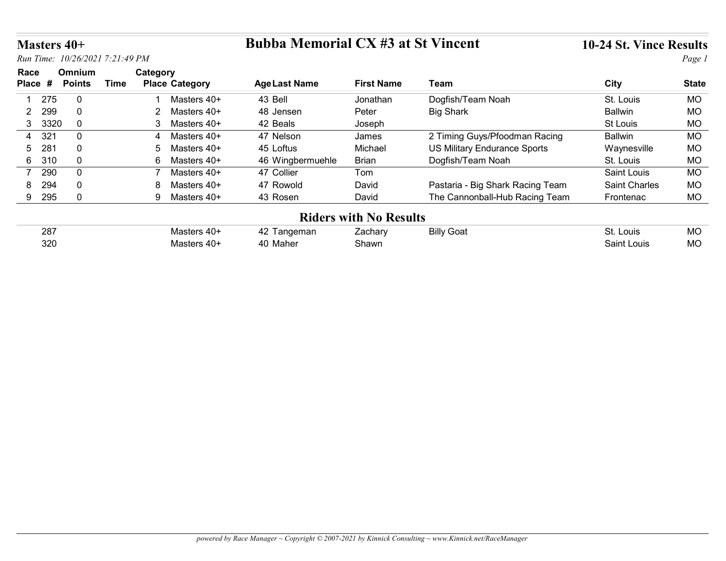### Masters 40+ Bubba Memorial CX #3 at St Vincent 10-24 St. Vince Results

| <b>Masters 40+</b>    |                         |                                                  | <b>Bubba Memorial CX #3 at St Vincent</b> |                                          |                                                                    | 10-24 St. Vince Results |              |
|-----------------------|-------------------------|--------------------------------------------------|-------------------------------------------|------------------------------------------|--------------------------------------------------------------------|-------------------------|--------------|
|                       |                         | Run Time: 10/26/2021 7:21:49 PM                  |                                           |                                          |                                                                    |                         | Page 1       |
| Race<br>Place #       | Omnium<br><b>Points</b> | Category<br><b>Time</b><br><b>Place Category</b> | <b>Age Last Name</b>                      | <b>First Name</b>                        | <b>Team</b>                                                        | <b>City</b>             | <b>State</b> |
| 275                   | $\overline{0}$          | Masters 40+                                      | 43 Bell                                   | Jonathan                                 | Dogfish/Team Noah                                                  | St. Louis               | MO           |
| 299<br>$\mathbf{2}$   | $\mathbf 0$             | $\overline{2}$<br>Masters 40+                    | 48 Jensen                                 | Peter                                    | <b>Big Shark</b>                                                   | <b>Ballwin</b>          | <b>MO</b>    |
|                       | $\mathbf{0}$            | Masters 40+<br>3                                 | 42 Beals                                  | Joseph                                   |                                                                    | St Louis                | MO           |
| 3 3320                |                         |                                                  |                                           | James                                    | 2 Timing Guys/Pfoodman Racing                                      | <b>Ballwin</b>          | <b>MO</b>    |
| 321<br>4              | $\mathbf 0$             | Masters 40+<br>4                                 | 47 Nelson                                 |                                          |                                                                    |                         |              |
| 281<br>5              | $\mathbf 0$             | Masters 40+<br>-5                                | 45 Loftus                                 | Michael                                  | US Military Endurance Sports                                       | Waynesville             | MO           |
| 6 310                 | $\mathbf 0$             | 6<br>Masters 40+                                 | 46 Wingbermuehle                          | <b>Brian</b>                             | Dogfish/Team Noah                                                  | St. Louis               | MO           |
| 290<br>$\overline{7}$ | $\overline{0}$          | Masters 40+<br>7                                 | 47 Collier                                | Tom                                      |                                                                    | Saint Louis             | <b>MO</b>    |
| 294<br>8              | $\mathbf{0}$            | Masters 40+<br>8                                 | 47 Rowold                                 | David                                    |                                                                    | Saint Charles           | <b>MO</b>    |
| 9 295                 | $\mathbf 0$             | 9 Masters 40+                                    | 43 Rosen                                  | David                                    | Pastaria - Big Shark Racing Team<br>The Cannonball-Hub Racing Team | Frontenac               | MO           |
|                       |                         |                                                  |                                           |                                          |                                                                    |                         |              |
| 287                   |                         | Masters 40+                                      | 42 Tangeman                               | <b>Riders with No Results</b><br>Zachary | <b>Billy Goat</b>                                                  | St. Louis               | MO           |

### Riders with No Results

| 287 | ™lasterc       | eman<br>44         | ∠achar∨ | Billy<br>' Goat | $\mathbf{r}$<br>Louis<br>ЭI. | <b>MC</b> |
|-----|----------------|--------------------|---------|-----------------|------------------------------|-----------|
| 320 | Maetare<br>. . | 40.<br>Maher<br>≖∪ | Shawn   |                 | _ouis<br>∖aint⊹              | <b>MC</b> |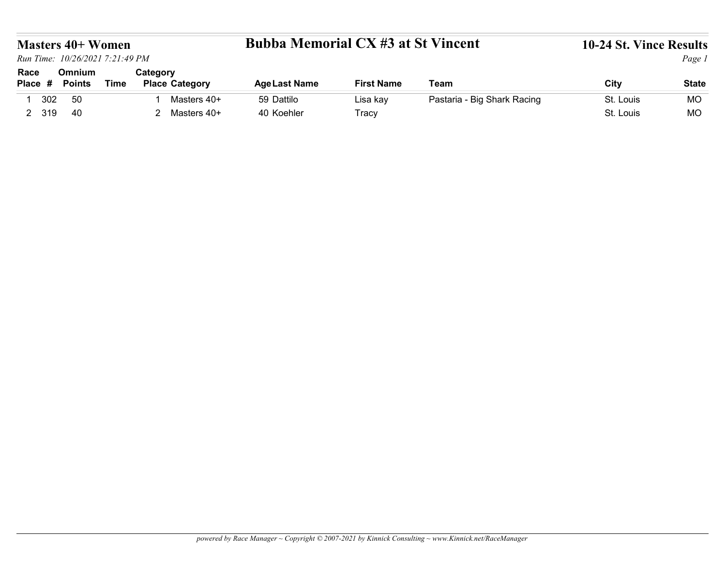### powered by Race Manager ~ Copyright © 2007-2021 by Kinnick Consulting ~ www.Kinnick.net/RaceManager

### Masters 40+ Women Bubba Memorial CX #3 at St Vincent 10-24 St. Vince Results

|                                                                                |                         |             |                                   | <b>Bubba Memorial CX #3 at St Vincent</b> |                   |                             | 10-24 St. Vince Results | Page 1       |
|--------------------------------------------------------------------------------|-------------------------|-------------|-----------------------------------|-------------------------------------------|-------------------|-----------------------------|-------------------------|--------------|
| <b>Masters 40+ Women</b><br>Run Time: 10/26/2021 7:21:49 PM<br>Race<br>Place # | Omnium<br><b>Points</b> | <b>Time</b> | Category<br><b>Place Category</b> | <b>Age Last Name</b>                      | <b>First Name</b> | Team                        | City                    | <b>State</b> |
| 302<br>$\mathbf{1}$                                                            | 50                      |             | Masters 40+                       | 59 Dattilo                                | Lisa kay          | Pastaria - Big Shark Racing | St. Louis               | <b>MO</b>    |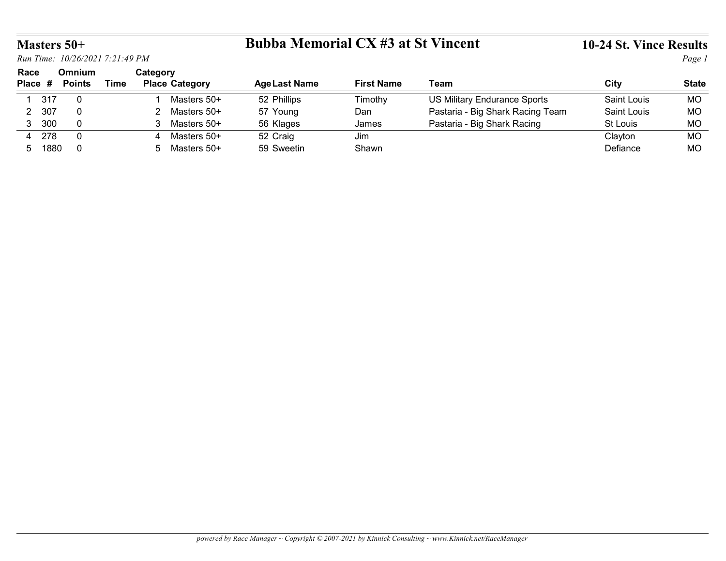# Masters 50+ Bubba Memorial CX #3 at St Vincent 10-24 St. Vince Results

|                 |                                 |             |                                   | <b>Bubba Memorial CX #3 at St Vincent</b> |                   |                                     |                         |                        |
|-----------------|---------------------------------|-------------|-----------------------------------|-------------------------------------------|-------------------|-------------------------------------|-------------------------|------------------------|
| Masters 50+     | Run Time: 10/26/2021 7:21:49 PM |             |                                   |                                           |                   |                                     | 10-24 St. Vince Results | Page 1                 |
| Race            | Omnium                          |             | Category                          |                                           |                   |                                     |                         |                        |
| Place #         | <b>Points</b>                   | <b>Time</b> | <b>Place Category</b>             | <b>Age Last Name</b>                      | <b>First Name</b> | Team                                | City                    | <b>State</b>           |
| 317             | $\overline{0}$                  |             | Masters 50+                       | 52 Phillips                               | Timothy           | <b>US Military Endurance Sports</b> | Saint Louis             | <b>MO</b>              |
| 2 307           | $\mathbf 0$                     |             | Masters 50+<br>2                  | 57 Young                                  | Dan               | Pastaria - Big Shark Racing Team    | Saint Louis             | MO                     |
| 3 300           | $\mathbf 0$                     |             | 3 Masters 50+                     | 56 Klages                                 | James             | Pastaria - Big Shark Racing         | St Louis                | <b>MO</b>              |
| 4 278<br>5 1880 | $\mathbf 0$<br>$\overline{0}$   |             | Masters 50+<br>4<br>5 Masters 50+ | 52 Craig<br>59 Sweetin                    | Jim<br>Shawn      |                                     | Clayton<br>Defiance     | <b>MO</b><br><b>MO</b> |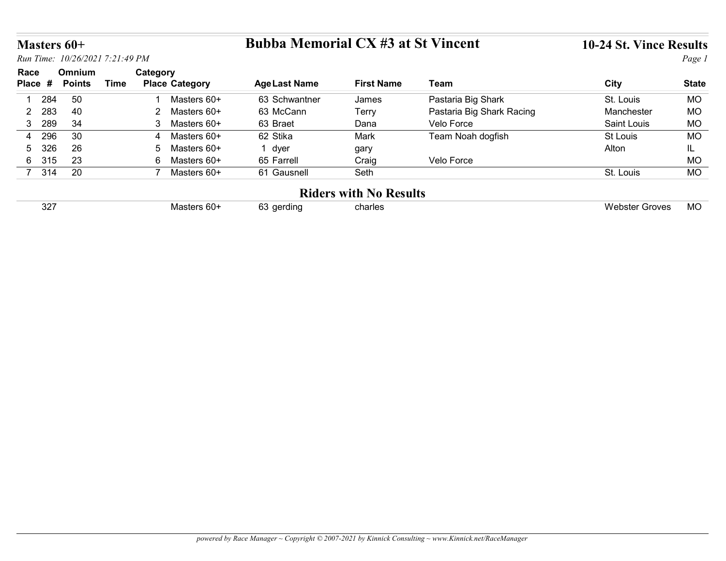### Masters 60+ Bubba Memorial CX #3 at St Vincent 10-24 St. Vince Results

|                       |                                 |             |                               | <b>Bubba Memorial CX #3 at St Vincent</b> |                                          |                           |                         |              |  |
|-----------------------|---------------------------------|-------------|-------------------------------|-------------------------------------------|------------------------------------------|---------------------------|-------------------------|--------------|--|
| Masters 60+           |                                 |             |                               |                                           |                                          |                           | 10-24 St. Vince Results |              |  |
|                       | Run Time: 10/26/2021 7:21:49 PM |             |                               |                                           |                                          |                           |                         | Page 1       |  |
| Race                  | Omnium                          |             | Category                      |                                           |                                          |                           |                         |              |  |
| Place #               | <b>Points</b>                   | <b>Time</b> | <b>Place Category</b>         | <b>Age Last Name</b>                      | <b>First Name</b>                        | <b>Team</b>               | <b>City</b>             | <b>State</b> |  |
| 284<br>$\mathbf{1}$   | 50                              |             | Masters 60+                   | 63 Schwantner                             | James                                    | Pastaria Big Shark        | St. Louis               | <b>MO</b>    |  |
|                       | 40                              |             | $2^{\circ}$<br>Masters 60+    | 63 McCann                                 | Terry                                    | Pastaria Big Shark Racing | Manchester              | <b>MO</b>    |  |
| 283<br>$2^{\circ}$    | 34                              |             | 3 <sup>1</sup><br>Masters 60+ | 63 Braet                                  | Dana                                     | Velo Force                | Saint Louis             | <b>MO</b>    |  |
| 289<br>3 <sup>7</sup> |                                 |             | Masters 60+<br>4              | 62 Stika                                  | Mark                                     | Team Noah dogfish         | St Louis                | <b>MO</b>    |  |
| 296<br>$\overline{4}$ | 30                              |             |                               |                                           |                                          |                           | Alton                   | IL.          |  |
| 326<br>5              | 26                              |             | Masters 60+<br>5              | 1 dyer                                    | gary                                     |                           |                         |              |  |
| 315<br>$6^{\circ}$    | 23                              |             | 6<br>Masters 60+              | 65 Farrell                                | Craig                                    | Velo Force                |                         | <b>MO</b>    |  |
| 7 314                 | $\overline{20}$                 |             | 7 Masters 60+                 | 61 Gausnell                               | Seth                                     |                           | St. Louis               | MO           |  |
|                       |                                 |             |                               |                                           |                                          |                           |                         |              |  |
| 327                   |                                 |             | Masters 60+                   | 63 gerding                                | <b>Riders with No Results</b><br>charles |                           | <b>Webster Groves</b>   | <b>MO</b>    |  |

### Riders with No Results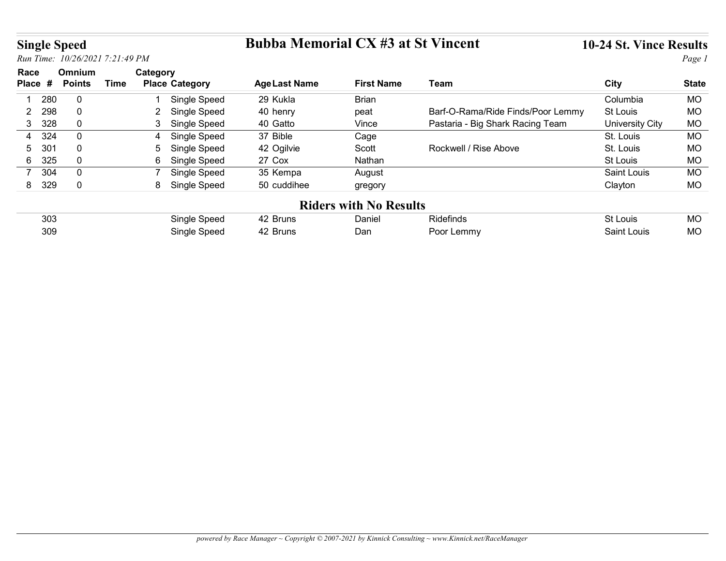# Single Speed Bubba Memorial CX #3 at St Vincent 10-24 St. Vince Results

| <b>Single Speed</b>            |                          |                                 |                                     | <b>Bubba Memorial CX #3 at St Vincent</b> |                               |                                   | 10-24 St. Vince Results |                        |
|--------------------------------|--------------------------|---------------------------------|-------------------------------------|-------------------------------------------|-------------------------------|-----------------------------------|-------------------------|------------------------|
|                                |                          | Run Time: 10/26/2021 7:21:49 PM |                                     |                                           |                               |                                   |                         | Page 1                 |
| Race                           | Omnium                   |                                 | Category                            |                                           |                               |                                   |                         |                        |
| Place #                        | <b>Points</b>            | <b>Time</b>                     | <b>Place Category</b>               | <b>Age Last Name</b>                      | <b>First Name</b>             | <b>Team</b>                       | City                    | <b>State</b>           |
|                                |                          |                                 |                                     |                                           |                               |                                   |                         |                        |
| 280<br>$\mathbf 1$             | $\mathbf 0$              |                                 | Single Speed                        | 29 Kukla                                  | Brian                         |                                   | Columbia                | <b>MO</b>              |
| 298<br>$\overline{2}$          | $\mathbf 0$              |                                 | 2 Single Speed                      | 40 henry                                  | peat                          | Barf-O-Rama/Ride Finds/Poor Lemmy | St Louis                | <b>MO</b>              |
| 328<br>3 <sup>1</sup>          | $\mathbf 0$              |                                 | Single Speed<br>3 <sup>1</sup>      | 40 Gatto                                  | Vince                         | Pastaria - Big Shark Racing Team  | <b>University City</b>  | <b>MO</b>              |
| 324<br>4                       | $\mathbf 0$              |                                 | Single Speed                        | 37 Bible                                  | Cage                          |                                   | St. Louis               | <b>MO</b>              |
| 301<br>5                       | $\mathbf 0$              |                                 | Single Speed<br>5                   | 42 Ogilvie                                | Scott                         | Rockwell / Rise Above             | St. Louis               | <b>MO</b>              |
| 325<br>$6\phantom{.}$          | $\mathbf 0$              |                                 | 6<br>Single Speed<br>$\overline{7}$ | 27 Cox                                    | Nathan                        |                                   | St Louis                | <b>MO</b>              |
| 304<br>$\overline{7}$<br>8 329 | $\pmb{0}$<br>$\mathsf 0$ |                                 | Single Speed                        | 35 Kempa<br>50 cuddihee                   | August                        |                                   | Saint Louis<br>Clayton  | MO<br><b>MO</b>        |
|                                |                          |                                 | 8 Single Speed                      |                                           | gregory                       |                                   |                         |                        |
|                                |                          |                                 |                                     |                                           | <b>Riders with No Results</b> |                                   |                         |                        |
| 303<br>309                     |                          |                                 | Single Speed<br>Single Speed        | 42 Bruns<br>42 Bruns                      | Daniel<br>Dan                 | Ridefinds<br>Poor Lemmy           | St Louis<br>Saint Louis | <b>MO</b><br><b>MO</b> |

| 303 | Speed<br>sınale | Bruns | Daniel | Ridefinds      | St Louis       | $\sim$<br><b>IVIV</b> |
|-----|-----------------|-------|--------|----------------|----------------|-----------------------|
| 309 | Single<br>Speed | Bruns | Dar    | _emmy<br>oor I | Louis<br>≾aint | ''<br><b>IVIU</b>     |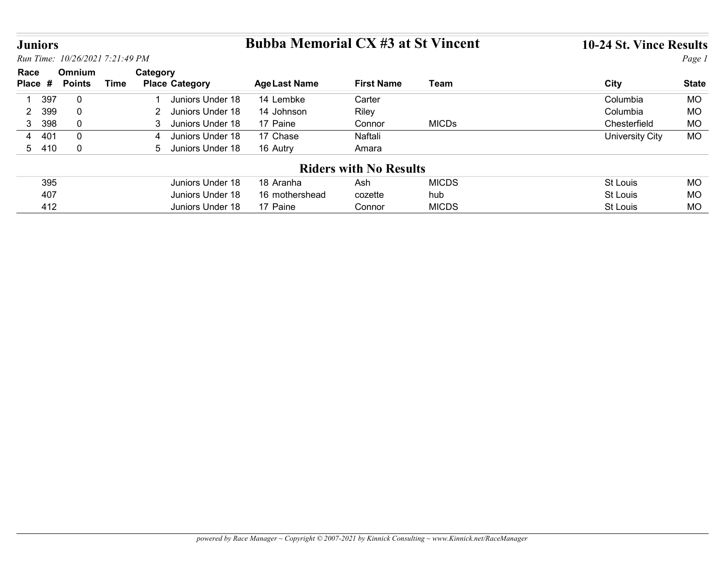# Juniors Bubba Memorial CX #3 at St Vincent 10-24 St. Vince Results

| <b>Juniors</b>               |                                 |             |                                      | <b>Bubba Memorial CX #3 at St Vincent</b> |                               |                     | 10-24 St. Vince Results |                        |
|------------------------------|---------------------------------|-------------|--------------------------------------|-------------------------------------------|-------------------------------|---------------------|-------------------------|------------------------|
|                              | Run Time: 10/26/2021 7:21:49 PM |             |                                      |                                           |                               |                     |                         | Page 1                 |
| Race                         | Omnium                          |             | Category                             |                                           |                               |                     |                         |                        |
| Place #                      | <b>Points</b>                   | <b>Time</b> | <b>Place Category</b>                | <b>Age Last Name</b>                      | <b>First Name</b>             | <b>Team</b>         | City                    | <b>State</b>           |
|                              |                                 |             | Juniors Under 18                     | 14 Lembke                                 | Carter                        |                     | Columbia                | <b>MO</b>              |
| $\overline{\mathbf{1}}$      |                                 |             |                                      |                                           |                               |                     |                         |                        |
| 397<br>399<br>$\overline{2}$ | $\mathbf 0$<br>$\mathbf 0$      |             | 2 Juniors Under 18                   | 14 Johnson                                |                               |                     | Columbia                | <b>MO</b>              |
| 3 398                        | $\mathbf 0$                     |             | Juniors Under 18<br>3 <sup>1</sup>   | 17 Paine                                  | Riley<br>Connor               | <b>MICDs</b>        | Chesterfield            | <b>MO</b>              |
| 401<br>$\overline{4}$        | $\overline{0}$                  |             | Juniors Under 18<br>$\overline{4}$   | 17 Chase                                  | Naftali                       |                     | <b>University City</b>  | <b>MO</b>              |
| 5 410                        | $\mathbf 0$                     |             | 5 Juniors Under 18                   | 16 Autry                                  | Amara                         |                     |                         |                        |
|                              |                                 |             |                                      |                                           |                               |                     |                         |                        |
|                              |                                 |             |                                      |                                           | <b>Riders with No Results</b> |                     |                         |                        |
| 395                          |                                 |             | Juniors Under 18                     | 18 Aranha                                 | Ash                           | <b>MICDS</b>        | <b>St Louis</b>         | <b>MO</b>              |
| 407<br>412                   |                                 |             | Juniors Under 18<br>Juniors Under 18 | 16 mothershead<br>17 Paine                | cozette<br>Connor             | hub<br><b>MICDS</b> | St Louis<br>St Louis    | <b>MO</b><br><b>MO</b> |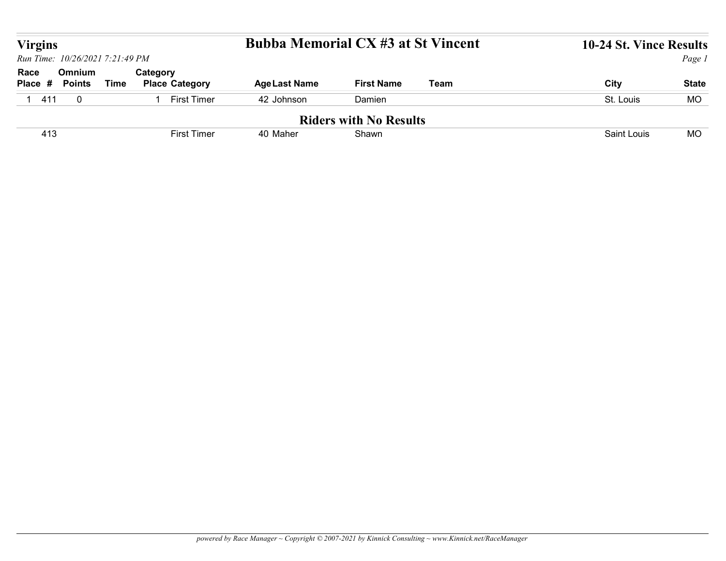| <b>Virgins</b>                  |                         |             |                                      | <b>Bubba Memorial CX #3 at St Vincent</b> |                               |             | 10-24 St. Vince Results |              |
|---------------------------------|-------------------------|-------------|--------------------------------------|-------------------------------------------|-------------------------------|-------------|-------------------------|--------------|
| Run Time: 10/26/2021 7:21:49 PM |                         |             |                                      |                                           |                               |             |                         | Page 1       |
| Race<br>Place #                 | Omnium<br><b>Points</b> | <b>Time</b> | Category<br><b>Place Category</b>    | <b>Age Last Name</b>                      | <b>First Name</b>             | <b>Team</b> | City                    | <b>State</b> |
| 1411                            | $\mathbf 0$             |             | <b>First Timer</b><br>$\overline{1}$ | 42 Johnson                                | Damien                        |             | St. Louis               | MO           |
|                                 |                         |             |                                      |                                           | <b>Riders with No Results</b> |             |                         |              |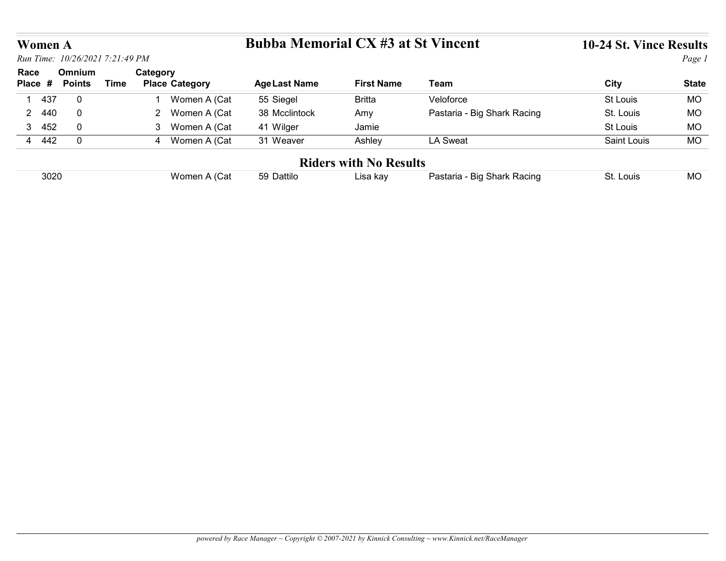### Women A Bubba Memorial CX #3 at St Vincent 10-24 St. Vince Results

| <b>Bubba Memorial CX #3 at St Vincent</b><br><b>Women A</b><br>Run Time: 10/26/2021 7:21:49 PM<br>Omnium<br>Category<br>Race<br><b>Time</b><br><b>Place Category</b><br><b>Team</b><br>City<br><b>Points</b><br><b>Age Last Name</b><br><b>First Name</b><br><b>State</b><br>Place #<br>Veloforce<br>St Louis<br>437<br>$\mathbf 0$<br>Women A (Cat<br>55 Siegel<br><b>Britta</b><br><b>MO</b><br>$\mathbf{1}$<br>Pastaria - Big Shark Racing<br>2 Women A (Cat<br>38 Mcclintock<br>2 440<br>$\mathbf 0$<br>St. Louis<br>MO<br>Amy<br>3 452<br>$\mathbf 0$<br>3 Women A (Cat<br>41 Wilger<br>Jamie<br><b>MO</b><br>St Louis<br>4 442<br>$\overline{0}$<br>4 Women A (Cat<br><b>LA Sweat</b><br><b>MO</b><br>31 Weaver<br>Ashley<br>Saint Louis<br><b>Riders with No Results</b><br><b>MO</b><br>Women A (Cat<br>Pastaria - Big Shark Racing<br>3020<br>Lisa kay<br>St. Louis<br>59 Dattilo |  |  |  |  |  |
|--------------------------------------------------------------------------------------------------------------------------------------------------------------------------------------------------------------------------------------------------------------------------------------------------------------------------------------------------------------------------------------------------------------------------------------------------------------------------------------------------------------------------------------------------------------------------------------------------------------------------------------------------------------------------------------------------------------------------------------------------------------------------------------------------------------------------------------------------------------------------------------------|--|--|--|--|--|
| Page 1                                                                                                                                                                                                                                                                                                                                                                                                                                                                                                                                                                                                                                                                                                                                                                                                                                                                                     |  |  |  |  |  |
|                                                                                                                                                                                                                                                                                                                                                                                                                                                                                                                                                                                                                                                                                                                                                                                                                                                                                            |  |  |  |  |  |
|                                                                                                                                                                                                                                                                                                                                                                                                                                                                                                                                                                                                                                                                                                                                                                                                                                                                                            |  |  |  |  |  |
|                                                                                                                                                                                                                                                                                                                                                                                                                                                                                                                                                                                                                                                                                                                                                                                                                                                                                            |  |  |  |  |  |
|                                                                                                                                                                                                                                                                                                                                                                                                                                                                                                                                                                                                                                                                                                                                                                                                                                                                                            |  |  |  |  |  |
|                                                                                                                                                                                                                                                                                                                                                                                                                                                                                                                                                                                                                                                                                                                                                                                                                                                                                            |  |  |  |  |  |
|                                                                                                                                                                                                                                                                                                                                                                                                                                                                                                                                                                                                                                                                                                                                                                                                                                                                                            |  |  |  |  |  |
| 10-24 St. Vince Results                                                                                                                                                                                                                                                                                                                                                                                                                                                                                                                                                                                                                                                                                                                                                                                                                                                                    |  |  |  |  |  |
|                                                                                                                                                                                                                                                                                                                                                                                                                                                                                                                                                                                                                                                                                                                                                                                                                                                                                            |  |  |  |  |  |
|                                                                                                                                                                                                                                                                                                                                                                                                                                                                                                                                                                                                                                                                                                                                                                                                                                                                                            |  |  |  |  |  |
|                                                                                                                                                                                                                                                                                                                                                                                                                                                                                                                                                                                                                                                                                                                                                                                                                                                                                            |  |  |  |  |  |
|                                                                                                                                                                                                                                                                                                                                                                                                                                                                                                                                                                                                                                                                                                                                                                                                                                                                                            |  |  |  |  |  |
|                                                                                                                                                                                                                                                                                                                                                                                                                                                                                                                                                                                                                                                                                                                                                                                                                                                                                            |  |  |  |  |  |
|                                                                                                                                                                                                                                                                                                                                                                                                                                                                                                                                                                                                                                                                                                                                                                                                                                                                                            |  |  |  |  |  |
|                                                                                                                                                                                                                                                                                                                                                                                                                                                                                                                                                                                                                                                                                                                                                                                                                                                                                            |  |  |  |  |  |
|                                                                                                                                                                                                                                                                                                                                                                                                                                                                                                                                                                                                                                                                                                                                                                                                                                                                                            |  |  |  |  |  |
|                                                                                                                                                                                                                                                                                                                                                                                                                                                                                                                                                                                                                                                                                                                                                                                                                                                                                            |  |  |  |  |  |
|                                                                                                                                                                                                                                                                                                                                                                                                                                                                                                                                                                                                                                                                                                                                                                                                                                                                                            |  |  |  |  |  |
|                                                                                                                                                                                                                                                                                                                                                                                                                                                                                                                                                                                                                                                                                                                                                                                                                                                                                            |  |  |  |  |  |
|                                                                                                                                                                                                                                                                                                                                                                                                                                                                                                                                                                                                                                                                                                                                                                                                                                                                                            |  |  |  |  |  |
|                                                                                                                                                                                                                                                                                                                                                                                                                                                                                                                                                                                                                                                                                                                                                                                                                                                                                            |  |  |  |  |  |
|                                                                                                                                                                                                                                                                                                                                                                                                                                                                                                                                                                                                                                                                                                                                                                                                                                                                                            |  |  |  |  |  |
|                                                                                                                                                                                                                                                                                                                                                                                                                                                                                                                                                                                                                                                                                                                                                                                                                                                                                            |  |  |  |  |  |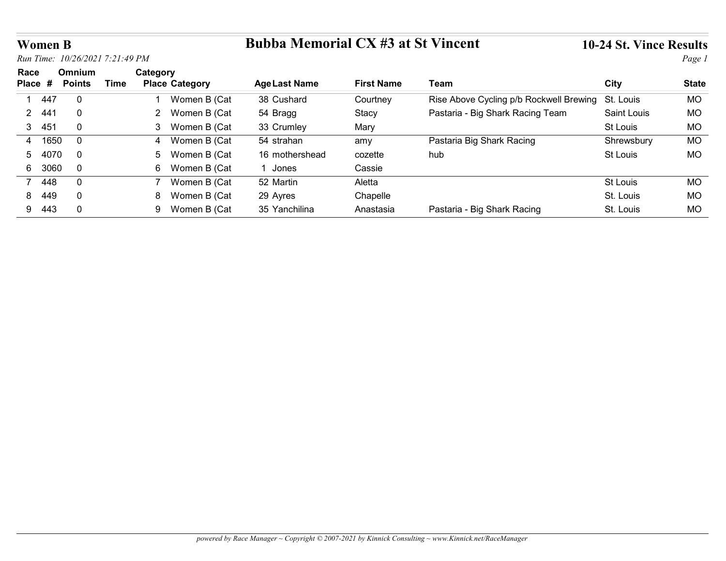# Women B Bubba Memorial CX #3 at St Vincent 10-24 St. Vince Results

| <b>Women B</b>                 |                                 |             |                                   | <b>Bubba Memorial CX #3 at St Vincent</b> |                   |                                         | 10-24 St. Vince Results |              |
|--------------------------------|---------------------------------|-------------|-----------------------------------|-------------------------------------------|-------------------|-----------------------------------------|-------------------------|--------------|
|                                | Run Time: 10/26/2021 7:21:49 PM |             |                                   |                                           |                   |                                         |                         | Page 1       |
| Race<br>Place #                | Omnium<br><b>Points</b>         | <b>Time</b> | Category<br><b>Place Category</b> | <b>Age Last Name</b>                      | <b>First Name</b> | Team                                    | <b>City</b>             | <b>State</b> |
| 447<br>$\overline{\mathbf{1}}$ | $\mathbf 0$                     |             | Women B (Cat<br>$\mathbf{1}$      | 38 Cushard                                | Courtney          | Rise Above Cycling p/b Rockwell Brewing | St. Louis               | <b>MO</b>    |
| -441<br>$\mathbf{2}$           | $\mathbf 0$                     |             | Women B (Cat<br>$\overline{2}$    | 54 Bragg                                  | Stacy             | Pastaria - Big Shark Racing Team        | Saint Louis             | <b>MO</b>    |
|                                |                                 |             | 3 Women B (Cat                    | 33 Crumley                                | Mary              |                                         | St Louis                | <b>MO</b>    |
| 3 451                          | $\mathbf 0$                     |             |                                   |                                           |                   |                                         |                         | <b>MO</b>    |
| 4 1650                         | $\mathbf 0$                     |             | 4 Women B (Cat                    | 54 strahan                                | amy               | Pastaria Big Shark Racing               | Shrewsbury              |              |
| 5<br>4070                      | $\mathbf 0$                     |             | Women B (Cat<br>5                 | 16 mothershead                            | cozette           | hub                                     | St Louis                | MO           |
| 6 3060                         | $\mathbf 0$                     |             | 6 Women B (Cat                    | 1 Jones                                   | Cassie            |                                         |                         |              |
| 7 448                          | $\mathbf 0$                     |             | $7^{\circ}$<br>Women B (Cat       | 52 Martin                                 | Aletta            |                                         | St Louis                | <b>MO</b>    |
| 449<br>8                       | $\mathbf 0$                     |             | 8 Women B (Cat                    | 29 Ayres                                  | Chapelle          |                                         | St. Louis               | MO           |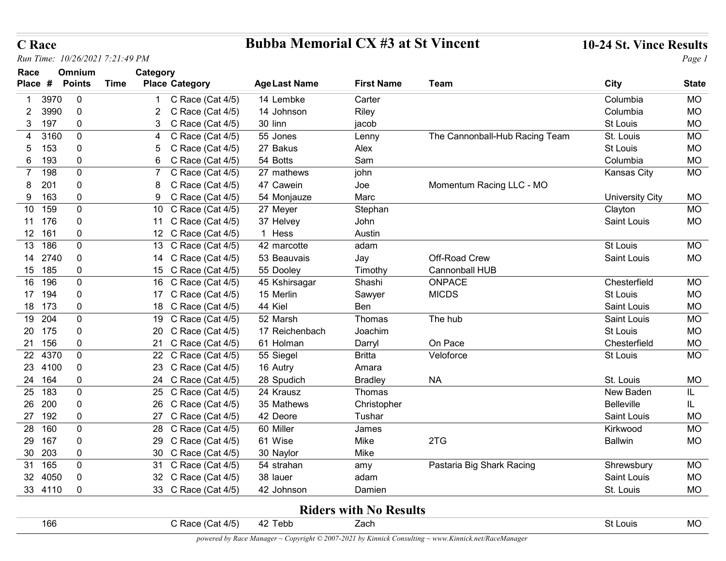### C Race Bubba Memorial CX #3 at St Vincent 10-24 St. Vince Results

| <b>C</b> Race         |                                        |                                            | <b>Bubba Memorial CX #3 at St Vincent</b> |                               |                                | 10-24 St. Vince Results  |                        |
|-----------------------|----------------------------------------|--------------------------------------------|-------------------------------------------|-------------------------------|--------------------------------|--------------------------|------------------------|
|                       | Run Time: 10/26/2021 7:21:49 PM        |                                            |                                           |                               |                                |                          | Page 1                 |
| Race<br>Place #       | Omnium<br><b>Points</b><br><b>Time</b> | Category<br><b>Place Category</b>          | <b>Age Last Name</b>                      | <b>First Name</b>             | <b>Team</b>                    | <b>City</b>              | <b>State</b>           |
| 3970                  | $\overline{0}$                         | C Race (Cat 4/5)                           | 14 Lembke                                 | Carter                        |                                | Columbia                 | MO                     |
| 3990<br>2             | $\Omega$                               | C Race (Cat 4/5)                           | 14 Johnson                                | Riley                         |                                | Columbia                 | <b>MO</b>              |
| 197<br>3              | $\Omega$                               | C Race (Cat 4/5)                           | 30 linn                                   | jacob                         |                                | St Louis                 | MO                     |
| 3160<br>4             | $\mathbf 0$                            | C Race (Cat 4/5)                           | 55 Jones                                  | Lenny                         | The Cannonball-Hub Racing Team | St. Louis                | <b>MO</b>              |
| 153<br>5              | 0                                      | C Race (Cat $4/5$ )                        | 27 Bakus                                  | Alex                          |                                | St Louis                 | <b>MO</b>              |
| 193<br>6              | $\mathbf 0$                            | C Race (Cat $4/5$ )<br>6                   | 54 Botts                                  | Sam                           |                                | Columbia                 | <b>MO</b>              |
| 198<br>$\overline{7}$ | $\mathbf 0$                            | C Race (Cat 4/5)                           | 27 mathews                                | john                          |                                | Kansas City              | <b>MO</b>              |
| 20 <sup>2</sup><br>8  | $\mathbf{0}$                           | C Race (Cat $4/5$ )                        | 47 Cawein                                 | Joe                           | Momentum Racing LLC - MO       |                          |                        |
| 163<br>9              | $\mathbf 0$                            | 9 C Race (Cat 4/5)                         | 54 Monjauze                               | Marc                          |                                | <b>University City</b>   | MO                     |
| 10 159<br>11 176      | $\mathbf 0$<br>$\mathbf 0$             | 10 C Race (Cat 4/5)<br>11 C Race (Cat 4/5) | 27 Meyer<br>37 Helvey                     | Stephan<br>John               |                                | Clayton<br>Saint Louis   | <b>MO</b><br><b>MO</b> |
| 12 161                | $\mathbf 0$                            | 12 C Race (Cat 4/5)                        | 1 Hess                                    | Austin                        |                                |                          |                        |
| 13 186                | $\mathbf 0$                            | 13 C Race (Cat 4/5)                        | 42 marcotte                               | adam                          |                                | St Louis                 | <b>MO</b>              |
| 14 2740               | $\pmb{0}$                              | 14 C Race (Cat 4/5)                        | 53 Beauvais                               | Jay                           | Off-Road Crew                  | Saint Louis              | <b>MO</b>              |
| 15 185                | $\mathbf 0$                            | 15 C Race (Cat 4/5)                        | 55 Dooley                                 | Timothy                       | Cannonball HUB                 |                          |                        |
| 16 196                | $\mathbf 0$                            | 16 C Race (Cat 4/5)                        | 45 Kshirsagar                             | Shashi                        | ONPACE                         | Chesterfield             | MO                     |
| 17 194                | 0                                      | 17 C Race (Cat 4/5)                        | 15 Merlin                                 | Sawyer                        | <b>MICDS</b>                   | St Louis                 | <b>MO</b>              |
| 18 173                | 0                                      | 18 C Race (Cat 4/5)                        | 44 Kiel                                   | Ben                           |                                | Saint Louis              | MO                     |
| 19 204                | $\mathbf 0$                            | 19 C Race (Cat 4/5)                        | 52 Marsh                                  | Thomas                        | The hub                        | Saint Louis              | <b>MO</b>              |
| 20 175<br>21 156      | $\mathbf 0$<br>$\mathbf 0$             | 20 C Race (Cat 4/5)<br>21 C Race (Cat 4/5) | 17 Reichenbach                            | Joachim                       |                                | St Louis                 | <b>MO</b>              |
| 22 4370               | $\mathbf 0$                            | 22 C Race (Cat 4/5)                        | 61 Holman<br>55 Siegel                    | Darryl<br><b>Britta</b>       | On Pace<br>Veloforce           | Chesterfield<br>St Louis | <b>MO</b><br>MO        |
| 23 4100               | $\mathbf 0$                            | 23 C Race (Cat 4/5)                        | 16 Autry                                  | Amara                         |                                |                          |                        |
| 24 164                | $\mathbf 0$                            | 24 C Race (Cat 4/5)                        | 28 Spudich                                | <b>Bradley</b>                | <b>NA</b>                      | St. Louis                | <b>MO</b>              |
| 25 183                | 0                                      | 25 C Race (Cat 4/5)                        | 24 Krausz                                 | Thomas                        |                                | New Baden                | IL.                    |
| 26 200                | 0                                      | 26 C Race (Cat 4/5)                        | 35 Mathews                                | Christopher                   |                                | Belleville               | IL.                    |
| 27 192                | 0                                      | 27 C Race (Cat 4/5)                        | 42 Deore                                  | Tushar                        |                                | Saint Louis              | <b>MO</b>              |
| 28 160                | $\mathbf 0$                            | 28 C Race (Cat 4/5)                        | 60 Miller                                 | James                         |                                | Kirkwood                 | <b>MO</b>              |
| 29 167                | $\mathbf 0$                            | 29 C Race (Cat 4/5)                        | 61 Wise                                   | Mike                          | 2TG                            | <b>Ballwin</b>           | <b>MO</b>              |
| 30 203                | $\mathbf 0$                            | 30 C Race (Cat 4/5)                        | 30 Naylor                                 | Mike                          |                                |                          |                        |
| 31 165                | $\mathbf 0$                            | 31 C Race (Cat 4/5)                        | 54 strahan                                | amy                           | Pastaria Big Shark Racing      | Shrewsbury               | MO                     |
| 32 4050<br>33 4110    | $\mathbf 0$<br>$\overline{0}$          | 32 C Race (Cat 4/5)<br>33 C Race (Cat 4/5) | 38 lauer<br>42 Johnson                    | adam<br>Damien                |                                | Saint Louis<br>St. Louis | <b>MO</b><br><b>MO</b> |
|                       |                                        |                                            |                                           |                               |                                |                          |                        |
|                       |                                        |                                            |                                           | <b>Riders with No Results</b> |                                | St Louis                 |                        |
| 166                   |                                        | C Race (Cat 4/5)                           | 42 Tebb                                   | Zach                          |                                |                          | <b>MO</b>              |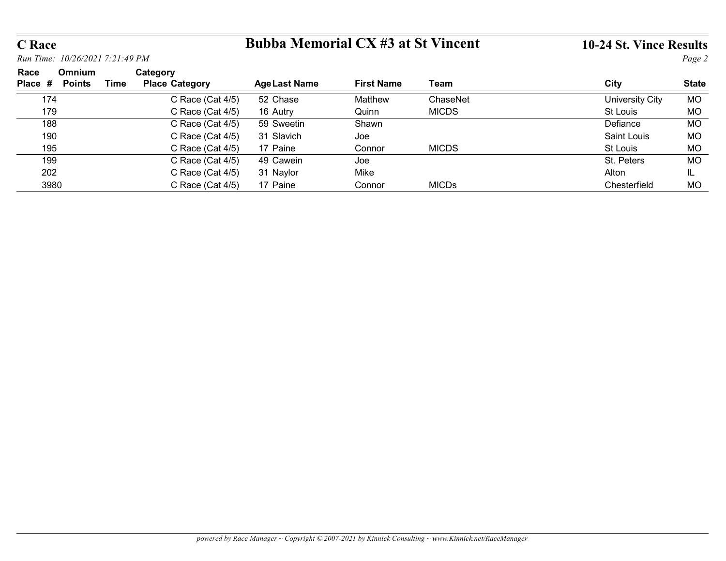# C Race Bubba Memorial CX #3 at St Vincent 10-24 St. Vince Results

| <b>C</b> Race                 |                                 |                                   | <b>Bubba Memorial CX #3 at St Vincent</b> |                   |              | 10-24 St. Vince Results |              |
|-------------------------------|---------------------------------|-----------------------------------|-------------------------------------------|-------------------|--------------|-------------------------|--------------|
|                               | Run Time: 10/26/2021 7:21:49 PM |                                   |                                           |                   |              |                         | Page 2       |
|                               | Omnium                          |                                   |                                           |                   |              |                         |              |
|                               | <b>Time</b>                     | Category<br><b>Place Category</b> | <b>Age Last Name</b>                      | <b>First Name</b> | Team         | City                    | <b>State</b> |
| Race<br>Place # Points<br>174 |                                 | C Race (Cat 4/5)                  | 52 Chase                                  | Matthew           | ChaseNet     | <b>University City</b>  | <b>MO</b>    |
| 179                           |                                 | C Race (Cat 4/5)                  | 16 Autry                                  | Quinn             | <b>MICDS</b> | St Louis                | <b>MO</b>    |
| 188                           |                                 | C Race (Cat 4/5)                  | 59 Sweetin                                | Shawn             |              | Defiance                | MO           |
| 190                           |                                 | C Race (Cat 4/5)                  | 31 Slavich                                | Joe               |              | <b>Saint Louis</b>      | <b>MO</b>    |
| 195                           |                                 | C Race (Cat 4/5)                  | 17 Paine                                  | Connor            | <b>MICDS</b> | St Louis                | <b>MO</b>    |
| 199                           |                                 | C Race (Cat 4/5)                  | 49 Cawein                                 | Joe               |              | St. Peters              | <b>MO</b>    |
| 202                           |                                 | C Race (Cat 4/5)                  | 31 Naylor                                 | Mike              |              | Alton                   | IL.          |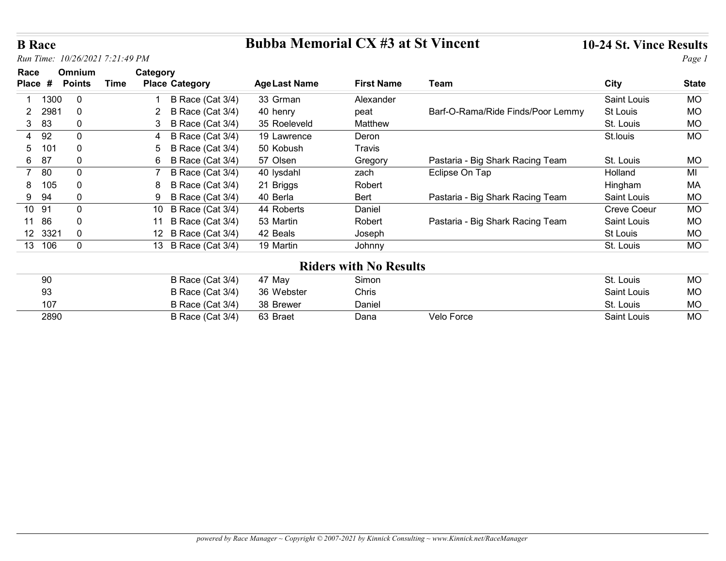### B Race Bubba Memorial CX #3 at St Vincent 10-24 St. Vince Results

| <b>B</b> Race                   |               |      |                                           | <b>Bubba Memorial CX #3 at St Vincent</b> |                               |                                   | 10-24 St. Vince Results           |                 |
|---------------------------------|---------------|------|-------------------------------------------|-------------------------------------------|-------------------------------|-----------------------------------|-----------------------------------|-----------------|
| Run Time: 10/26/2021 7:21:49 PM |               |      |                                           |                                           |                               |                                   |                                   | Page 1          |
| Race                            | Omnium        |      | Category                                  |                                           |                               |                                   |                                   |                 |
| Place #                         | <b>Points</b> | Time | <b>Place Category</b>                     | <b>Age Last Name</b>                      | <b>First Name</b>             | Team                              | City                              | <b>State</b>    |
| 1300                            | $\mathbf 0$   |      | B Race (Cat 3/4)                          | 33 Grman                                  | Alexander                     |                                   | Saint Louis                       | <b>MO</b>       |
| 2981<br>2                       | $\mathbf 0$   |      | <b>B Race (Cat 3/4)</b><br>2              | 40 henry                                  | peat                          | Barf-O-Rama/Ride Finds/Poor Lemmy | St Louis                          | MO              |
| 83<br>3                         | 0             |      | B Race (Cat 3/4)<br>3                     | 35 Roeleveld                              | Matthew                       |                                   | St. Louis                         | <b>MO</b>       |
| 92<br>4                         | 0             |      | B Race (Cat 3/4)<br>4                     | 19 Lawrence                               | Deron                         |                                   | St.louis                          | <b>MO</b>       |
| 101<br>5                        | 0             |      | <b>B Race (Cat 3/4)</b><br>5              | 50 Kobush                                 | Travis                        |                                   |                                   |                 |
| 6<br>87                         | 0             |      | B Race (Cat 3/4)<br>6                     | 57 Olsen                                  | Gregory                       | Pastaria - Big Shark Racing Team  | St. Louis                         | <b>MO</b>       |
| 80<br>$\overline{7}$            | $\mathbf 0$   |      | B Race (Cat 3/4)                          | 40 lysdahl                                | zach                          | Eclipse On Tap                    | Holland                           | MI              |
| 105<br>8<br>9 94                | 0<br>0        |      | B Race (Cat 3/4)                          | 21 Briggs<br>40 Berla                     | Robert                        |                                   | Hingham                           | МA              |
| 10 91                           | $\mathbf{0}$  |      | 9 B Race (Cat 3/4)<br>10 B Race (Cat 3/4) | 44 Roberts                                | Bert<br>Daniel                | Pastaria - Big Shark Racing Team  | Saint Louis<br><b>Creve Coeur</b> | MO<br><b>MO</b> |
| 11 86                           | 0             |      | 11 B Race (Cat 3/4)                       | 53 Martin                                 | Robert                        | Pastaria - Big Shark Racing Team  | Saint Louis                       | <b>MO</b>       |
| 12 3321                         | $\mathbf 0$   |      | 12 B Race (Cat 3/4)                       | 42 Beals                                  | Joseph                        |                                   | St Louis                          | $MO$            |
| 13 106                          | $\mathbf 0$   |      | 13 B Race (Cat 3/4)                       | 19 Martin                                 | Johnny                        |                                   | St. Louis                         | <b>MO</b>       |
|                                 |               |      |                                           |                                           |                               |                                   |                                   |                 |
|                                 |               |      |                                           |                                           | <b>Riders with No Results</b> |                                   |                                   |                 |
| 90                              |               |      | B Race (Cat 3/4)                          | 47 May                                    | Simon                         |                                   | St. Louis                         | <b>MO</b>       |
|                                 |               |      | B Race (Cat 3/4)                          | 36 Webster                                | Chris                         |                                   | Saint Louis                       | <b>MO</b>       |
| 93                              |               |      | B Race (Cat 3/4)                          | 38 Brewer                                 | Daniel                        |                                   | St. Louis                         | MO              |
| 107<br>2890                     |               |      | B Race (Cat 3/4)                          | 63 Braet                                  | Dana                          | Velo Force                        | Saint Louis                       | <b>MO</b>       |

| 90   | B Race (Cat 3/4) | 47 Mav     | Simon  |            | St. Louis   | <b>MO</b> |
|------|------------------|------------|--------|------------|-------------|-----------|
| 93   | B Race (Cat 3/4) | 36 Webster | Chris  |            | Saint Louis | MO        |
| 107  | B Race (Cat 3/4) | 38 Brewer  | Daniel |            | St. Louis   | МO        |
| 2890 | B Race (Cat 3/4) | 63 Braet   | Dana   | Velo Force | Saint Louis | МO        |